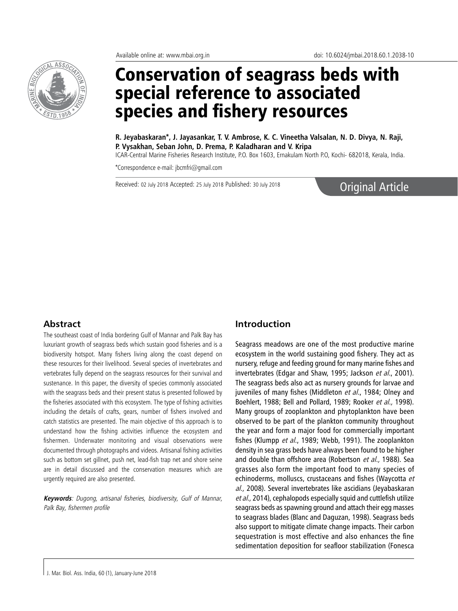

# Conservation of seagrass beds with special reference to associated species and fishery resources

**R. Jeyabaskaran\*, J. Jayasankar, T. V. Ambrose, K. C. Vineetha Valsalan, N. D. Divya, N. Raji, P. Vysakhan, Seban John, D. Prema, P. Kaladharan and V. Kripa**

ICAR-Central Marine Fisheries Research Institute, P.O. Box 1603, Ernakulam North P.O, Kochi- 682018, Kerala, India.

\*Correspondence e-mail: jbcmfri@gmail.com

Received: 02 July 2018 Accepted: 25 July 2018 Published: 30 July 2018 **Canadian Article** 

#### **Abstract**

The southeast coast of India bordering Gulf of Mannar and Palk Bay has luxuriant growth of seagrass beds which sustain good fisheries and is a biodiversity hotspot. Many fishers living along the coast depend on these resources for their livelihood. Several species of invertebrates and vertebrates fully depend on the seagrass resources for their survival and sustenance. In this paper, the diversity of species commonly associated with the seagrass beds and their present status is presented followed by the fisheries associated with this ecosystem. The type of fishing activities including the details of crafts, gears, number of fishers involved and catch statistics are presented. The main objective of this approach is to understand how the fishing activities influence the ecosystem and fishermen. Underwater monitoring and visual observations were documented through photographs and videos. Artisanal fishing activities such as bottom set gillnet, push net, lead-fish trap net and shore seine are in detail discussed and the conservation measures which are urgently required are also presented.

**Keywords**: Dugong, artisanal fisheries, biodiversity, Gulf of Mannar, Palk Bay, fishermen profile

#### **Introduction**

Seagrass meadows are one of the most productive marine ecosystem in the world sustaining good fishery. They act as nursery, refuge and feeding ground for many marine fishes and invertebrates (Edgar and Shaw, 1995; Jackson et al., 2001). The seagrass beds also act as nursery grounds for larvae and juveniles of many fishes (Middleton et al., 1984; Olney and Boehlert, 1988; Bell and Pollard, 1989; Rooker et al., 1998). Many groups of zooplankton and phytoplankton have been observed to be part of the plankton community throughout the year and form a major food for commercially important fishes (Klumpp et al., 1989; Webb, 1991). The zooplankton density in sea grass beds have always been found to be higher and double than offshore area (Robertson et al., 1988). Sea grasses also form the important food to many species of echinoderms, molluscs, crustaceans and fishes (Waycotta et al., 2008). Several invertebrates like ascidians (Jeyabaskaran et al., 2014), cephalopods especially squid and cuttlefish utilize seagrass beds as spawning ground and attach their egg masses to seagrass blades (Blanc and Daguzan, 1998). Seagrass beds also support to mitigate climate change impacts. Their carbon sequestration is most effective and also enhances the fine sedimentation deposition for seafloor stabilization (Fonesca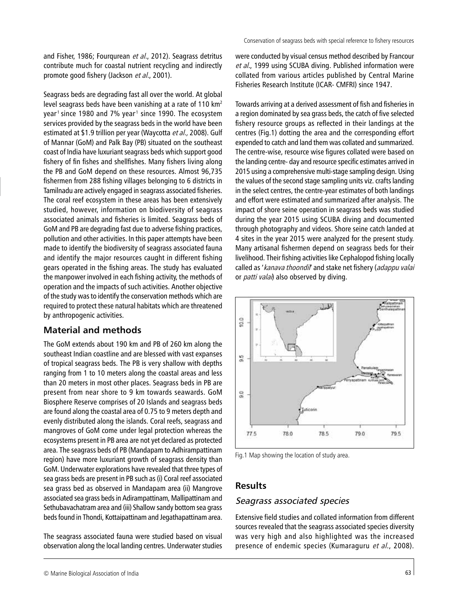and Fisher, 1986; Fourqurean et al., 2012). Seagrass detritus contribute much for coastal nutrient recycling and indirectly promote good fishery (Jackson et al., 2001).

Seagrass beds are degrading fast all over the world. At global level seagrass beds have been vanishing at a rate of 110 km2 year<sup>1</sup> since 1980 and 7% year<sup>1</sup> since 1990. The ecosystem services provided by the seagrass beds in the world have been estimated at \$1.9 trillion per year (Waycotta et al., 2008). Gulf of Mannar (GoM) and Palk Bay (PB) situated on the southeast coast of India have luxuriant seagrass beds which support good fishery of fin fishes and shellfishes. Many fishers living along the PB and GoM depend on these resources. Almost 96,735 fishermen from 288 fishing villages belonging to 6 districts in Tamilnadu are actively engaged in seagrass associated fisheries. The coral reef ecosystem in these areas has been extensively studied, however, information on biodiversity of seagrass associated animals and fisheries is limited. Seagrass beds of GoM and PB are degrading fast due to adverse fishing practices, pollution and other activities. In this paper attempts have been made to identify the biodiversity of seagrass associated fauna and identify the major resources caught in different fishing gears operated in the fishing areas. The study has evaluated the manpower involved in each fishing activity, the methods of operation and the impacts of such activities. Another objective of the study was to identify the conservation methods which are required to protect these natural habitats which are threatened by anthropogenic activities.

# **Material and methods**

The GoM extends about 190 km and PB of 260 km along the southeast Indian coastline and are blessed with vast expanses of tropical seagrass beds. The PB is very shallow with depths ranging from 1 to 10 meters along the coastal areas and less than 20 meters in most other places. Seagrass beds in PB are present from near shore to 9 km towards seawards. GoM Biosphere Reserve comprises of 20 Islands and seagrass beds are found along the coastal area of 0.75 to 9 meters depth and evenly distributed along the islands. Coral reefs, seagrass and mangroves of GoM come under legal protection whereas the ecosystems present in PB area are not yet declared as protected area. The seagrass beds of PB (Mandapam to Adhirampattinam region) have more luxuriant growth of seagrass density than GoM. Underwater explorations have revealed that three types of sea grass beds are present in PB such as (i) Coral reef associated sea grass bed as observed in Mandapam area (ii) Mangrove associated sea grass beds in Adirampattinam, Mallipattinam and Sethubavachatram area and (iii) Shallow sandy bottom sea grass beds found in Thondi, Kottaipattinam and Jegathapattinam area.

The seagrass associated fauna were studied based on visual observation along the local landing centres. Underwater studies were conducted by visual census method described by Francour et al., 1999 using SCUBA diving. Published information were collated from various articles published by Central Marine Fisheries Research Institute (ICAR- CMFRI) since 1947.

Towards arriving at a derived assessment of fish and fisheries in a region dominated by sea grass beds, the catch of five selected fishery resource groups as reflected in their landings at the centres (Fig.1) dotting the area and the corresponding effort expended to catch and land them was collated and summarized. The centre-wise, resource wise figures collated were based on the landing centre- day and resource specific estimates arrived in 2015 using a comprehensive multi-stage sampling design. Using the values of the second stage sampling units viz. crafts landing in the select centres, the centre-year estimates of both landings and effort were estimated and summarized after analysis. The impact of shore seine operation in seagrass beds was studied during the year 2015 using SCUBA diving and documented through photography and videos. Shore seine catch landed at 4 sites in the year 2015 were analyzed for the present study. Many artisanal fishermen depend on seagrass beds for their livelihood. Their fishing activities like Cephalopod fishing locally called as 'kanava thoondil' and stake net fishery (adappu valai or *patti valai*) also observed by diving.



Fig.1 Map showing the location of study area.

#### **Results**

#### Seagrass associated species

Extensive field studies and collated information from different sources revealed that the seagrass associated species diversity was very high and also highlighted was the increased presence of endemic species (Kumaraguru et al., 2008).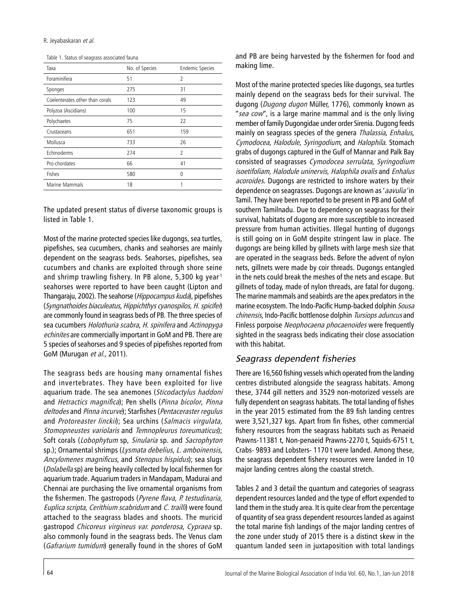R. Jeyabaskaran et al.

| Table 1. Status of seagrass associated fauna |  |
|----------------------------------------------|--|
|----------------------------------------------|--|

| Taxa                            | No. of Species | <b>Endemic Species</b> |
|---------------------------------|----------------|------------------------|
| Foraminifera                    | 51             | 2                      |
| Sponges                         | 275            | 31                     |
| Coelenterates other than corals | 123            | 49                     |
| Polyzoa (Ascidians)             | 100            | 15                     |
| Polychaetes                     | 75             | 22                     |
| Crustaceans                     | 651            | 159                    |
| Mollusca                        | 733            | 26                     |
| Echinoderms                     | 274            | $\overline{2}$         |
| Pro-chordates                   | 66             | 41                     |
| Fishes                          | 580            | 0                      |
| Marine Mammals                  | 18             |                        |

The updated present status of diverse taxonomic groups is listed in Table 1.

Most of the marine protected species like dugongs, sea turtles, pipefishes, sea cucumbers, chanks and seahorses are mainly dependent on the seagrass beds. Seahorses, pipefishes, sea cucumbers and chanks are exploited through shore seine and shrimp trawling fishery. In PB alone, 5,300 kg year<sup>1</sup> seahorses were reported to have been caught (Lipton and Thangaraju, 2002). The seahorse (Hippocampus kuda), pipefishes (Syngnathoides biaculeatus, Hippichthys cyanospilos, H. spicifer) are commonly found in seagrass beds of PB. The three species of sea cucumbers Holothuria scabra, H. spinifera and Actinopyga echinites are commercially important in GoM and PB. There are 5 species of seahorses and 9 species of pipefishes reported from GoM (Murugan et al., 2011).

The seagrass beds are housing many ornamental fishes and invertebrates. They have been exploited for live aquarium trade. The sea anemones (Sticodactylus haddoni and Hetractics magnifica); Pen shells (Pinna bicolor, Pinna deltodes and Pinna incurve); Starfishes (Pentaceraster regulus and Protoreaster linckii); Sea urchins (Salmacis virgulata, Stomopneustes variolaris and Temnopleurus toreumaticus); Soft corals (Lobophytum sp, Sinularia sp. and Sacrophyton sp.); Ornamental shrimps (Lysmata debelius, L. amboinensis, Ancylomenes magnificus, and Stenopus hispidus); sea slugs (Dolabella sp) are being heavily collected by local fishermen for aquarium trade. Aquarium traders in Mandapam, Madurai and Chennai are purchasing the live ornamental organisms from the fishermen. The gastropods (Pyrene flava, P. testudinaria, Euplica scripta, Cerithium scabridum and C. trailli) were found attached to the seagrass blades and shoots. The muricid gastropod Chicoreus virgineus var. ponderosa, Cypraea sp. also commonly found in the seagrass beds. The Venus clam (Gafrarium tumidum) generally found in the shores of GoM

and PB are being harvested by the fishermen for food and making lime.

Most of the marine protected species like dugongs, sea turtles mainly depend on the seagrass beds for their survival. The dugong (Dugong dugon Müller, 1776), commonly known as "sea cow", is a large marine mammal and is the only living member of family Dugongidae under order Sirenia. Dugong feeds mainly on seagrass species of the genera *Thalassia*, *Enhalus*, Cymodocea, Halodule, Syringodium, and Halophila. Stomach grabs of dugongs captured in the Gulf of Mannar and Palk Bay consisted of seagrasses Cymodocea serrulata, Syringodium isoetifoliam, Halodule uninervis, Halophila ovalis and Enhalus acoroides. Dugongs are restricted to inshore waters by their dependence on seagrasses. Dugongs are known as 'aavulia' in Tamil. They have been reported to be present in PB and GoM of southern Tamilnadu. Due to dependency on seagrass for their survival, habitats of dugong are more susceptible to increased pressure from human activities. Illegal hunting of dugongs is still going on in GoM despite stringent law in place. The dugongs are being killed by gillnets with large mesh size that are operated in the seagrass beds. Before the advent of nylon nets, gillnets were made by coir threads. Dugongs entangled in the nets could break the meshes of the nets and escape. But gillnets of today, made of nylon threads, are fatal for dugong. The marine mammals and seabirds are the apex predators in the marine ecosystem. The Indo-Pacific Hump-backed dolphin Sousa chinensis, Indo-Pacific bottlenose dolphin Tursiops aduncus and Finless porpoise Neophocaena phocaenoides were frequently sighted in the seagrass beds indicating their close association with this habitat.

#### Seagrass dependent fisheries

There are 16,560 fishing vessels which operated from the landing centres distributed alongside the seagrass habitats. Among these, 3744 gill netters and 3529 non-motorized vessels are fully dependent on seagrass habitats. The total landing of fishes in the year 2015 estimated from the 89 fish landing centres were 3,521,327 kgs. Apart from fin fishes, other commercial fishery resources from the seagrass habitats such as Penaeid Prawns-11381 t, Non-penaeid Prawns-2270 t, Squids-6751 t, Crabs- 9893 and Lobsters- 1170 t were landed. Among these, the seagrass dependent fishery resources were landed in 10 major landing centres along the coastal stretch.

Tables 2 and 3 detail the quantum and categories of seagrass dependent resources landed and the type of effort expended to land them in the study area. It is quite clear from the percentage of quantity of sea grass dependent resources landed as against the total marine fish landings of the major landing centres of the zone under study of 2015 there is a distinct skew in the quantum landed seen in juxtaposition with total landings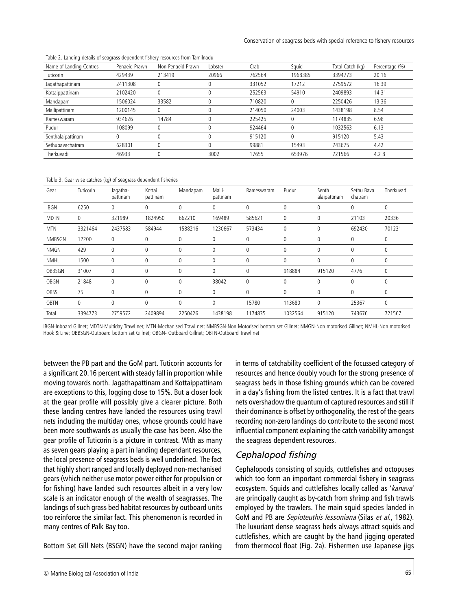|  |  | Table 2. Landing details of seagrass dependent fishery resources from Tamilnadu |  |  |
|--|--|---------------------------------------------------------------------------------|--|--|
|  |  |                                                                                 |  |  |

| Name of Landing Centres | Penaeid Prawn | Non-Penaeid Prawn | Lobster | Crab   | Squid        | Total Catch (kg) | Percentage (%) |
|-------------------------|---------------|-------------------|---------|--------|--------------|------------------|----------------|
| Tuticorin               | 429439        | 213419            | 20966   | 762564 | 1968385      | 3394773          | 20.16          |
| Jagathapattinam         | 2411308       | 0                 |         | 331052 | 17212        | 2759572          | 16.39          |
| Kottaippattinam         | 2102420       | $\Omega$          | 0       | 252563 | 54910        | 2409893          | 14.31          |
| Mandapam                | 1506024       | 33582             |         | 710820 | 0            | 2250426          | 13.36          |
| Mallipattinam           | 1200145       | 0                 |         | 214050 | 24003        | 1438198          | 8.54           |
| Rameswaram              | 934626        | 14784             |         | 225425 | $\mathbf 0$  | 1174835          | 6.98           |
| Pudur                   | 108099        | $\Omega$          |         | 924464 | $\mathbf 0$  | 1032563          | 6.13           |
| Senthalaipattinam       |               | 0                 |         | 915120 | $\mathbf{0}$ | 915120           | 5.43           |
| Sethubavachatram        | 628301        | $\Omega$          | 0       | 99881  | 15493        | 743675           | 4.42           |
| Therkuvadi              | 46933         | 0                 | 3002    | 17655  | 653976       | 721566           | 4.28           |
|                         |               |                   |         |        |              |                  |                |

Table 3. Gear wise catches (kg) of seagrass dependent fisheries

| Gear        | Tuticorin    | Jagatha-<br>pattinam | Kottai<br>pattinam | Mandapam | Malli-<br>pattinam | Rameswaram   | Pudur    | Senth<br>alaipattinam | Sethu Bava<br>chatram | Therkuvadi   |
|-------------|--------------|----------------------|--------------------|----------|--------------------|--------------|----------|-----------------------|-----------------------|--------------|
| <b>IBGN</b> | 6250         | 0                    | 0                  | 0        | 0                  | 0            | 0        | 0                     | 0                     | 0            |
| <b>MDTN</b> | $\mathbf 0$  | 321989               | 1824950            | 662210   | 169489             | 585621       | 0        | 0                     | 21103                 | 20336        |
| <b>MTN</b>  | 3321464      | 2437583              | 584944             | 1588216  | 1230667            | 573434       | 0        | 0                     | 692430                | 701231       |
| NMBSGN      | 12200        | 0                    | 0                  | 0        | 0                  | $\mathbf 0$  | 0        | 0                     | 0                     | 0            |
| NMGN        | 429          | 0                    | $\Omega$           | 0        | 0                  | 0            | 0        | 0                     | 0                     | 0            |
| <b>NMHL</b> | 1500         | 0                    | $\Omega$           | 0        | 0                  | 0            | 0        | 0                     | 0                     | 0            |
| OBBSGN      | 31007        | 0                    | $\Omega$           | 0        | 0                  | 0            | 918884   | 915120                | 4776                  | $\mathbf{0}$ |
| OBGN        | 21848        | 0                    | $\Omega$           | 0        | 38042              | $\mathbf 0$  | $\Omega$ | 0                     | 0                     | 0            |
| OBSS        | 75           | $\theta$             | $\Omega$           | 0        | 0                  | $\mathbf{0}$ | $\Omega$ | 0                     | 0                     | 0            |
| OBTN        | $\mathbf{0}$ | 0                    | $\Omega$           | 0        | 0                  | 15780        | 113680   | $\mathbf{0}$          | 25367                 | $\mathbf 0$  |
| Total       | 3394773      | 2759572              | 2409894            | 2250426  | 1438198            | 1174835      | 1032564  | 915120                | 743676                | 721567       |

IBGN-Inboard Gillnet; MDTN-Multiday Trawl net; MTN-Mechanised Trawl net; NMBSGN-Non Motorised bottom set Gillnet; NMGN-Non motorised Gillnet; NMHL-Non motorised Hook & Line; OBBSGN-Outboard bottom set Gillnet; OBGN- Outboard Gillnet; OBTN-Outboard Trawl net

between the PB part and the GoM part. Tuticorin accounts for a significant 20.16 percent with steady fall in proportion while moving towards north. Jagathapattinam and Kottaippattinam are exceptions to this, logging close to 15%. But a closer look at the gear profile will possibly give a clearer picture. Both these landing centres have landed the resources using trawl nets including the multiday ones, whose grounds could have been more southwards as usually the case has been. Also the gear profile of Tuticorin is a picture in contrast. With as many as seven gears playing a part in landing dependant resources, the local presence of seagrass beds is well underlined. The fact that highly short ranged and locally deployed non-mechanised gears (which neither use motor power either for propulsion or for fishing) have landed such resources albeit in a very low scale is an indicator enough of the wealth of seagrasses. The landings of such grass bed habitat resources by outboard units too reinforce the similar fact. This phenomenon is recorded in many centres of Palk Bay too.

Bottom Set Gill Nets (BSGN) have the second major ranking

in terms of catchability coefficient of the focussed category of resources and hence doubly vouch for the strong presence of seagrass beds in those fishing grounds which can be covered in a day's fishing from the listed centres. It is a fact that trawl nets overshadow the quantum of captured resources and still if their dominance is offset by orthogonality, the rest of the gears recording non-zero landings do contribute to the second most influential component explaining the catch variability amongst the seagrass dependent resources.

#### Cephalopod fishing

Cephalopods consisting of squids, cuttlefishes and octopuses which too form an important commercial fishery in seagrass ecosystem. Squids and cuttlefishes locally called as 'kanava' are principally caught as by-catch from shrimp and fish trawls employed by the trawlers. The main squid species landed in GoM and PB are Sepioteuthis lessoniana (Silas et al., 1982). The luxuriant dense seagrass beds always attract squids and cuttlefishes, which are caught by the hand jigging operated from thermocol float (Fig. 2a). Fishermen use Japanese jigs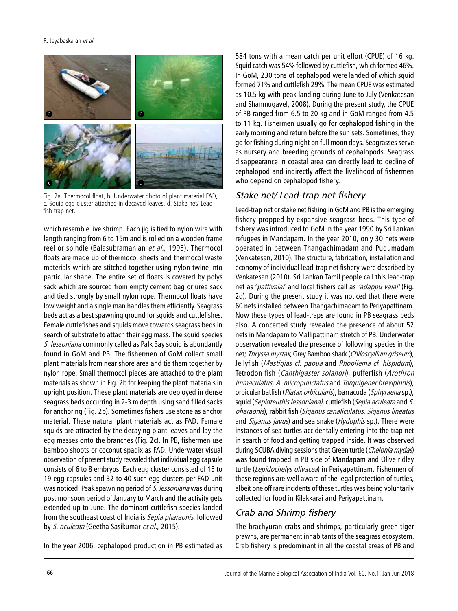

Fig. 2a. Thermocol float, b. Underwater photo of plant material FAD, c. Squid egg cluster attached in decayed leaves, d. Stake net/ Lead fish trap net.

which resemble live shrimp. Each jig is tied to nylon wire with length ranging from 6 to 15m and is rolled on a wooden frame reel or spindle (Balasubramanian et al., 1995). Thermocol floats are made up of thermocol sheets and thermocol waste materials which are stitched together using nylon twine into particular shape. The entire set of floats is covered by polys sack which are sourced from empty cement bag or urea sack and tied strongly by small nylon rope. Thermocol floats have low weight and a single man handles them efficiently. Seagrass beds act as a best spawning ground for squids and cuttlefishes. Female cuttlefishes and squids move towards seagrass beds in search of substrate to attach their egg mass. The squid species S. lessoniana commonly called as Palk Bay squid is abundantly found in GoM and PB. The fishermen of GoM collect small plant materials from near shore area and tie them together by nylon rope. Small thermocol pieces are attached to the plant materials as shown in Fig. 2b for keeping the plant materials in upright position. These plant materials are deployed in dense seagrass beds occurring in 2-3 m depth using sand filled sacks for anchoring (Fig. 2b). Sometimes fishers use stone as anchor material. These natural plant materials act as FAD. Female squids are attracted by the decaying plant leaves and lay the egg masses onto the branches (Fig. 2c). In PB, fishermen use bamboo shoots or coconut spadix as FAD. Underwater visual observation of present study revealed that individual egg capsule consists of 6 to 8 embryos. Each egg cluster consisted of 15 to 19 egg capsules and 32 to 40 such egg clusters per FAD unit was noticed. Peak spawning period of S. lessoniana was during post monsoon period of January to March and the activity gets extended up to June. The dominant cuttlefish species landed from the southeast coast of India is Sepia pharaonis, followed by S. aculeata (Geetha Sasikumar et al., 2015).

In the year 2006, cephalopod production in PB estimated as

584 tons with a mean catch per unit effort (CPUE) of 16 kg. Squid catch was 54% followed by cuttlefish, which formed 46%. In GoM, 230 tons of cephalopod were landed of which squid formed 71% and cuttlefish 29%. The mean CPUE was estimated as 10.5 kg with peak landing during June to July (Venkatesan and Shanmugavel, 2008). During the present study, the CPUE of PB ranged from 6.5 to 20 kg and in GoM ranged from 4.5 to 11 kg. Fishermen usually go for cephalopod fishing in the early morning and return before the sun sets. Sometimes, they go for fishing during night on full moon days. Seagrasses serve as nursery and breeding grounds of cephalopods. Seagrass disappearance in coastal area can directly lead to decline of cephalopod and indirectly affect the livelihood of fishermen who depend on cephalopod fishery.

### Stake net/ Lead-trap net fishery

Lead-trap net or stake net fishing in GoM and PB is the emerging fishery propped by expansive seagrass beds. This type of fishery was introduced to GoM in the year 1990 by Sri Lankan refugees in Mandapam. In the year 2010, only 30 nets were operated in between Thangachimadam and Pudumadam (Venkatesan, 2010). The structure, fabrication, installation and economy of individual lead-trap net fishery were described by Venkatesan (2010). Sri Lankan Tamil people call this lead-trap net as 'pattivalai' and local fishers call as 'adappu valai' (Fig. 2d). During the present study it was noticed that there were 60 nets installed between Thangachimadam to Periyapattinam. Now these types of lead-traps are found in PB seagrass beds also. A concerted study revealed the presence of about 52 nets in Mandapam to Mallipattinam stretch of PB. Underwater observation revealed the presence of following species in the net; Thryssa mystax, Grey Bamboo shark (Chiloscyllium griseum), Jellyfish (Mastigias cf. papua and Rhopilema cf. hispidum), Tetrodon fish (Canthigaster solandri), pufferfish (Arothron immaculatus, A. micropunctatus and Torquigener brevipinnis), orbicular batfish (Platax orbicularis), barracuda (Sphyraena sp.), squid (Sepioteuthis lessoniana), cuttlefish (Sepia aculeata and S. pharaonis), rabbit fish (Siganus canaliculatus, Siganus lineatus and Siganus javus) and sea snake (Hydophis sp.). There were instances of sea turtles accidentally entering into the trap net in search of food and getting trapped inside. It was observed during SCUBA diving sessions that Green turtle (Chelonia mydas) was found trapped in PB side of Mandapam and Olive ridley turtle (Lepidochelys olivacea) in Periyapattinam. Fishermen of these regions are well aware of the legal protection of turtles, albeit one off rare incidents of these turtles was being voluntarily collected for food in Kilakkarai and Periyapattinam.

# Crab and Shrimp fishery

The brachyuran crabs and shrimps, particularly green tiger prawns, are permanent inhabitants of the seagrass ecosystem. Crab fishery is predominant in all the coastal areas of PB and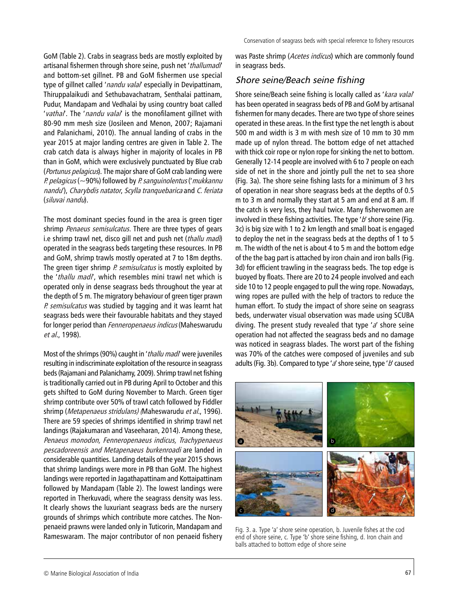GoM (Table 2). Crabs in seagrass beds are mostly exploited by artisanal fishermen through shore seine, push net 'thallumadi' and bottom-set gillnet. PB and GoM fishermen use special type of gillnet called 'nandu valai' especially in Devipattinam, Thiruppalaikudi and Sethubavachatram, Senthalai pattinam, Pudur, Mandapam and Vedhalai by using country boat called 'vathai'. The 'nandu valai' is the monofilament gillnet with 80-90 mm mesh size (Josileen and Menon, 2007; Rajamani and Palanichami, 2010). The annual landing of crabs in the year 2015 at major landing centres are given in Table 2. The crab catch data is always higher in majority of locales in PB than in GoM, which were exclusively punctuated by Blue crab (Portunus pelagicus). The major share of GoM crab landing were P. pelagicus ( $\sim$ 90%) followed by P. sanguinolentus ('mukkannu nandu'), Charybdis natator, Scylla tranquebarica and C. feriata (siluvai nandu).

The most dominant species found in the area is green tiger shrimp Penaeus semisulcatus. There are three types of gears i.e shrimp trawl net, disco gill net and push net (thallu madi) operated in the seagrass beds targeting these resources. In PB and GoM, shrimp trawls mostly operated at 7 to 18m depths. The green tiger shrimp  $P$  semisulcatus is mostly exploited by the 'thallu madi', which resembles mini trawl net which is operated only in dense seagrass beds throughout the year at the depth of 5 m. The migratory behaviour of green tiger prawn P. semisulcatus was studied by tagging and it was learnt hat seagrass beds were their favourable habitats and they stayed for longer period than Fenneropenaeus indicus (Maheswarudu et al., 1998).

Most of the shrimps (90%) caught in 'thallu madi' were juveniles resulting in indiscriminate exploitation of the resource in seagrass beds (Rajamani and Palanichamy, 2009). Shrimp trawl net fishing is traditionally carried out in PB during April to October and this gets shifted to GoM during November to March. Green tiger shrimp contribute over 50% of trawl catch followed by Fiddler shrimp (Metapenaeus stridulans) (Maheswarudu et al., 1996). There are 59 species of shrimps identified in shrimp trawl net landings (Rajakumaran and Vaseeharan, 2014). Among these, Penaeus monodon, Fenneropenaeus indicus, Trachypenaeus pescadoreensis and Metapenaeus burkenroadi are landed in considerable quantities. Landing details of the year 2015 shows that shrimp landings were more in PB than GoM. The highest landings were reported in Jagathapattinam and Kottaipattinam followed by Mandapam (Table 2). The lowest landings were reported in Therkuvadi, where the seagrass density was less. It clearly shows the luxuriant seagrass beds are the nursery grounds of shrimps which contribute more catches. The Nonpenaeid prawns were landed only in Tuticorin, Mandapam and Rameswaram. The major contributor of non penaeid fishery

was Paste shrimp (Acetes indicus) which are commonly found in seagrass beds.

# Shore seine/Beach seine fishing

Shore seine/Beach seine fishing is locally called as 'kara valal' has been operated in seagrass beds of PB and GoM by artisanal fishermen for many decades. There are two type of shore seines operated in these areas. In the first type the net length is about 500 m and width is 3 m with mesh size of 10 mm to 30 mm made up of nylon thread. The bottom edge of net attached with thick coir rope or nylon rope for sinking the net to bottom. Generally 12-14 people are involved with 6 to 7 people on each side of net in the shore and jointly pull the net to sea shore (Fig. 3a). The shore seine fishing lasts for a minimum of 3 hrs of operation in near shore seagrass beds at the depths of 0.5 m to 3 m and normally they start at 5 am and end at 8 am. If the catch is very less, they haul twice. Many fisherwomen are involved in these fishing activities. The type  $'b'$  shore seine (Fig. 3c) is big size with 1 to 2 km length and small boat is engaged to deploy the net in the seagrass beds at the depths of 1 to 5 m. The width of the net is about 4 to 5 m and the bottom edge of the the bag part is attached by iron chain and iron balls (Fig. 3d) for efficient trawling in the seagrass beds. The top edge is buoyed by floats. There are 20 to 24 people involved and each side 10 to 12 people engaged to pull the wing rope. Nowadays, wing ropes are pulled with the help of tractors to reduce the human effort. To study the impact of shore seine on seagrass beds, underwater visual observation was made using SCUBA diving. The present study revealed that type ' $a'$  shore seine operation had not affected the seagrass beds and no damage was noticed in seagrass blades. The worst part of the fishing was 70% of the catches were composed of juveniles and sub adults (Fig. 3b). Compared to type 'a' shore seine, type 'b' caused



Fig. 3. a. Type 'a' shore seine operation, b. Juvenile fishes at the cod end of shore seine, c. Type 'b' shore seine fishing, d. Iron chain and balls attached to bottom edge of shore seine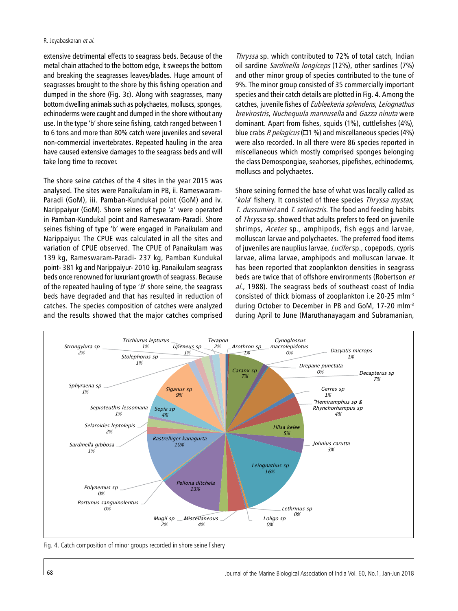#### R. Jeyabaskaran et al.

extensive detrimental effects to seagrass beds. Because of the metal chain attached to the bottom edge, it sweeps the bottom and breaking the seagrasses leaves/blades. Huge amount of seagrasses brought to the shore by this fishing operation and dumped in the shore (Fig. 3c). Along with seagrasses, many bottom dwelling animals such as polychaetes, molluscs, sponges, echinoderms were caught and dumped in the shore without any use. In the type 'b' shore seine fishing, catch ranged between 1 to 6 tons and more than 80% catch were juveniles and several non-commercial invertebrates. Repeated hauling in the area have caused extensive damages to the seagrass beds and will take long time to recover.

The shore seine catches of the 4 sites in the year 2015 was analysed. The sites were Panaikulam in PB, ii. Rameswaram-Paradi (GoM), iii. Pamban-Kundukal point (GoM) and iv. Narippaiyur (GoM). Shore seines of type 'a' were operated in Pamban-Kundukal point and Rameswaram-Paradi. Shore seines fishing of type 'b' were engaged in Panaikulam and Narippaiyur. The CPUE was calculated in all the sites and variation of CPUE observed. The CPUE of Panaikulam was 139 kg, Rameswaram-Paradi- 237 kg, Pamban Kundukal point- 381 kg and Narippaiyur- 2010 kg. Panaikulam seagrass beds once renowned for luxuriant growth of seagrass. Because of the repeated hauling of type  $'b'$  shore seine, the seagrass beds have degraded and that has resulted in reduction of catches. The species composition of catches were analyzed and the results showed that the major catches comprised

Thryssa sp. which contributed to 72% of total catch, Indian oil sardine Sardinella longiceps (12%), other sardines (7%) and other minor group of species contributed to the tune of 9%. The minor group consisted of 35 commercially important species and their catch details are plotted in Fig. 4. Among the catches, juvenile fishes of Eubleekeria splendens, Leiognathus brevirostris, Nuchequula mannusella and Gazza ninuta were dominant. Apart from fishes, squids (1%), cuttlefishes (4%), blue crabs P. pelagicus ( $\Box$ 1 %) and miscellaneous species (4%) were also recorded. In all there were 86 species reported in miscellaneous which mostly comprised sponges belonging the class Demospongiae, seahorses, pipefishes, echinoderms, molluscs and polychaetes.

Shore seining formed the base of what was locally called as 'kola' fishery. It consisted of three species Thryssa mystax, T. dussumieri and T. setirostris. The food and feeding habits of *Thryssa* sp. showed that adults prefers to feed on juvenile shrimps, Acetes sp., amphipods, fish eggs and larvae, molluscan larvae and polychaetes. The preferred food items of juveniles are nauplius larvae, *Lucifer* sp., copepods, cypris larvae, alima larvae, amphipods and molluscan larvae. It has been reported that zooplankton densities in seagrass beds are twice that of offshore environments (Robertson et al., 1988). The seagrass beds of southeast coast of India consisted of thick biomass of zooplankton i.e 20-25 mlm-3 during October to December in PB and GoM, 17-20 mlm-3 during April to June (Maruthanayagam and Subramanian,



Fig. 4. Catch composition of minor groups recorded in shore seine fishery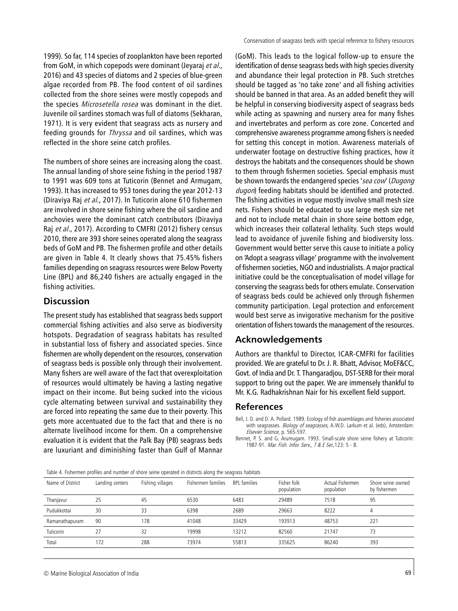1999). So far, 114 species of zooplankton have been reported from GoM, in which copepods were dominant (Jeyaraj et al., 2016) and 43 species of diatoms and 2 species of blue-green algae recorded from PB. The food content of oil sardines collected from the shore seines were mostly copepods and the species *Microsetella rosea* was dominant in the diet. Juvenile oil sardines stomach was full of diatoms (Sekharan, 1971). It is very evident that seagrass acts as nursery and feeding grounds for Thryssa and oil sardines, which was reflected in the shore seine catch profiles.

The numbers of shore seines are increasing along the coast. The annual landing of shore seine fishing in the period 1987 to 1991 was 609 tons at Tuticorin (Bennet and Armugam, 1993). It has increased to 953 tones during the year 2012-13 (Diraviya Raj et al., 2017). In Tuticorin alone 610 fishermen are involved in shore seine fishing where the oil sardine and anchovies were the dominant catch contributors (Diraviya Raj et al., 2017). According to CMFRI (2012) fishery census 2010, there are 393 shore seines operated along the seagrass beds of GoM and PB. The fishermen profile and other details are given in Table 4. It clearly shows that 75.45% fishers families depending on seagrass resources were Below Poverty Line (BPL) and 86,240 fishers are actually engaged in the fishing activities.

#### **Discussion**

The present study has established that seagrass beds support commercial fishing activities and also serve as biodiversity hotspots. Degradation of seagrass habitats has resulted in substantial loss of fishery and associated species. Since fishermen are wholly dependent on the resources, conservation of seagrass beds is possible only through their involvement. Many fishers are well aware of the fact that overexploitation of resources would ultimately be having a lasting negative impact on their income. But being sucked into the vicious cycle alternating between survival and sustainability they are forced into repeating the same due to their poverty. This gets more accentuated due to the fact that and there is no alternate livelihood income for them. On a comprehensive evaluation it is evident that the Palk Bay (PB) seagrass beds are luxuriant and diminishing faster than Gulf of Mannar

(GoM). This leads to the logical follow-up to ensure the identification of dense seagrass beds with high species diversity and abundance their legal protection in PB. Such stretches should be tagged as 'no take zone' and all fishing activities should be banned in that area. As an added benefit they will be helpful in conserving biodiversity aspect of seagrass beds while acting as spawning and nursery area for many fishes and invertebrates and perform as core zone. Concerted and comprehensive awareness programme among fishers is needed for setting this concept in motion. Awareness materials of underwater footage on destructive fishing practices, how it destroys the habitats and the consequences should be shown to them through fishermen societies. Special emphasis must be shown towards the endangered species 'sea cow' (Dugong dugon) feeding habitats should be identified and protected. The fishing activities in vogue mostly involve small mesh size nets. Fishers should be educated to use large mesh size net and not to include metal chain in shore seine bottom edge, which increases their collateral lethality. Such steps would lead to avoidance of juvenile fishing and biodiversity loss. Government would better serve this cause to initiate a policy on 'Adopt a seagrass village' programme with the involvement of fishermen societies, NGO and industrialists. A major practical initiative could be the conceptualisation of model village for conserving the seagrass beds for others emulate. Conservation of seagrass beds could be achieved only through fishermen community participation. Legal protection and enforcement would best serve as invigorative mechanism for the positive orientation of fishers towards the management of the resources.

## **Acknowledgements**

Authors are thankful to Director, ICAR-CMFRI for facilities provided. We are grateful to Dr. J. R. Bhatt, Advisor, MoEF&CC, Govt. of India and Dr. T. Thangaradjou, DST-SERB for their moral support to bring out the paper. We are immensely thankful to Mr. K.G. Radhakrishnan Nair for his excellent field support.

#### **References**

Bell, J. D. and D. A. Pollard. 1989. Ecology of fish assemblages and fisheries associated with seagrasses. Biology of seagrasses, A.W.D. Larkum et al. (eds), Amsterdam: Elsevier Science, p. 565-597.

Bennet, P. S. and G. Arumugam. 1993. Small-scale shore seine fishery at Tuticorin: 1987-91. Mar. Fish. Infor. Serv., T & E Ser.,123: 5 - 8.

Table 4. Fishermen profiles and number of shore seine operated in districts along the seagrass habitats

| Name of District | Landing centers | Fishing villages | Fishermen families | <b>BPL</b> families | Fisher folk<br>population | Actual Fishermen<br>population | Shore seine owned<br>by fishermen |
|------------------|-----------------|------------------|--------------------|---------------------|---------------------------|--------------------------------|-----------------------------------|
| Thanjavur        | 25              | 45               | 6530               | 6483                | 29489                     | 7518                           | 95                                |
| Pudukkottai      | 30              | 33               | 6398               | 2689                | 29663                     | 8222                           | 4                                 |
| Ramanathapuram   | 90              | 178              | 41048              | 33429               | 193913                    | 48753                          | 221                               |
| Tuticorin        | 27              | 32               | 19998              | 13212               | 82560                     | 21747                          | 73                                |
| Total            | 172             | 288              | 73974              | 55813               | 335625                    | 86240                          | 393                               |